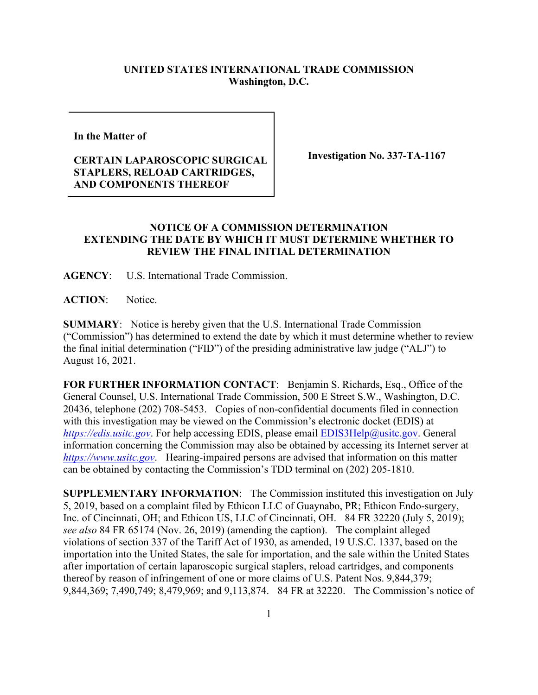## **UNITED STATES INTERNATIONAL TRADE COMMISSION Washington, D.C.**

**In the Matter of** 

## **CERTAIN LAPAROSCOPIC SURGICAL STAPLERS, RELOAD CARTRIDGES, AND COMPONENTS THEREOF**

**Investigation No. 337-TA-1167**

## **NOTICE OF A COMMISSION DETERMINATION EXTENDING THE DATE BY WHICH IT MUST DETERMINE WHETHER TO REVIEW THE FINAL INITIAL DETERMINATION**

**AGENCY**: U.S. International Trade Commission.

**ACTION**: Notice.

**SUMMARY**: Notice is hereby given that the U.S. International Trade Commission ("Commission") has determined to extend the date by which it must determine whether to review the final initial determination ("FID") of the presiding administrative law judge ("ALJ") to August 16, 2021.

**FOR FURTHER INFORMATION CONTACT**: Benjamin S. Richards, Esq., Office of the General Counsel, U.S. International Trade Commission, 500 E Street S.W., Washington, D.C. 20436, telephone (202) 708-5453. Copies of non-confidential documents filed in connection with this investigation may be viewed on the Commission's electronic docket (EDIS) at *[https://edis.usitc.gov](https://edis.usitc.gov/).* For help accessing EDIS, please email **EDIS3Help@usitc.gov.** General information concerning the Commission may also be obtained by accessing its Internet server at *[https://www.usitc.gov](https://www.usitc.gov/)*. Hearing-impaired persons are advised that information on this matter can be obtained by contacting the Commission's TDD terminal on (202) 205-1810.

**SUPPLEMENTARY INFORMATION**: The Commission instituted this investigation on July 5, 2019, based on a complaint filed by Ethicon LLC of Guaynabo, PR; Ethicon Endo-surgery, Inc. of Cincinnati, OH; and Ethicon US, LLC of Cincinnati, OH. 84 FR 32220 (July 5, 2019); *see also* 84 FR 65174 (Nov. 26, 2019) (amending the caption). The complaint alleged violations of section 337 of the Tariff Act of 1930, as amended, 19 U.S.C. 1337, based on the importation into the United States, the sale for importation, and the sale within the United States after importation of certain laparoscopic surgical staplers, reload cartridges, and components thereof by reason of infringement of one or more claims of U.S. Patent Nos. 9,844,379; 9,844,369; 7,490,749; 8,479,969; and 9,113,874. 84 FR at 32220. The Commission's notice of